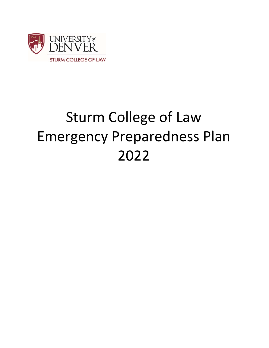

# Sturm College of Law Emergency Preparedness Plan 2022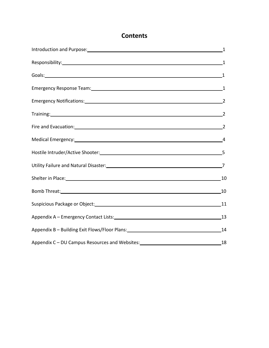## **Contents**

| Introduction and Purpose: 11 and 2012 11 and 2014 12:00 12:00 12:00 12:00 12:00 12:00 12:00 12:00 12:00 12:00 1                                                                                                               |  |
|-------------------------------------------------------------------------------------------------------------------------------------------------------------------------------------------------------------------------------|--|
|                                                                                                                                                                                                                               |  |
| Goals: 1                                                                                                                                                                                                                      |  |
| Emergency Response Team: 11 and 2012 12:00 and 2012 12:00 and 2012 12:00 and 2012 12:00 and 2012 12:00 and 201                                                                                                                |  |
| Emergency Notifications: 22 and 23 and 23 and 23 and 24 and 25 and 26 and 26 and 26 and 26 and 26 and 26 and 2                                                                                                                |  |
| Training: 2                                                                                                                                                                                                                   |  |
| Fire and Evacuation: 22                                                                                                                                                                                                       |  |
| Medical Emergency: 44                                                                                                                                                                                                         |  |
|                                                                                                                                                                                                                               |  |
|                                                                                                                                                                                                                               |  |
| Shelter in Place: 10 10                                                                                                                                                                                                       |  |
| Bomb Threat: 10                                                                                                                                                                                                               |  |
| Suspicious Package or Object: 11 and 20 and 21 and 21 and 21 and 22 and 22 and 22 and 22 and 22 and 22 and 22 and 22 and 22 and 22 and 22 and 22 and 22 and 22 and 22 and 22 and 22 and 22 and 22 and 22 and 22 and 22 and 22 |  |
| Appendix A - Emergency Contact Lists: 13                                                                                                                                                                                      |  |
| Appendix B - Building Exit Flows/Floor Plans: 14                                                                                                                                                                              |  |
| Appendix C-DU Campus Resources and Websites: 18 18                                                                                                                                                                            |  |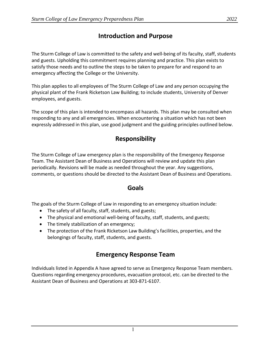## **Introduction and Purpose**

The Sturm College of Law is committed to the safety and well‐being of its faculty, staff, students and guests. Upholding this commitment requires planning and practice. This plan exists to satisfy those needs and to outline the steps to be taken to prepare for and respond to an emergency affecting the College or the University.

This plan applies to all employees of The Sturm College of Law and any person occupying the physical plant of the Frank Ricketson Law Building; to include students, University of Denver employees, and guests.

The scope of this plan is intended to encompass all hazards. This plan may be consulted when responding to any and all emergencies. When encountering a situation which has not been expressly addressed in this plan, use good judgment and the guiding principles outlined below.

## **Responsibility**

The Sturm College of Law emergency plan is the responsibility of the Emergency Response Team. The Assistant Dean of Business and Operations will review and update this plan periodically. Revisions will be made as needed throughout the year. Any suggestions, comments, or questions should be directed to the Assistant Dean of Business and Operations.

#### **Goals**

The goals of the Sturm College of Law in responding to an emergency situation include:

- The safety of all faculty, staff, students, and guests;
- The physical and emotional well-being of faculty, staff, students, and guests;
- The timely stabilization of an emergency;
- The protection of the Frank Ricketson Law Building's facilities, properties, and the belongings of faculty, staff, students, and guests.

## **Emergency Response Team**

Individuals listed in Appendix A have agreed to serve as Emergency Response Team members. Questions regarding emergency procedures, evacuation protocol, etc. can be directed to the Assistant Dean of Business and Operations at 303‐871‐6107.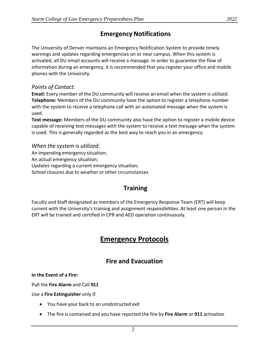## **Emergency Notifications**

The University of Denver maintains an Emergency Notification System to provide timely warnings and updates regarding emergencies on or near campus. When this system is activated, all DU email accounts will receive a message. In order to guarantee the flow of information during an emergency, it is recommended that you register your office and mobile phones with the University.

#### *Points of Contact:*

**Email:** Every member of the DU community will receive an email when the system is utilized. **Telephone:** Members of the DU community have the option to register a telephone number with the system to receive a telephone call with an automated message when the system is used.

**Text message:** Members of the DU community also have the option to register a mobile device capable of receiving text messages with the system to receive a text message when the system is used. This is generally regarded as the best way to reach you in an emergency.

#### *When the system is utilized:*  An impending emergency situation; An actual emergency situation; Updates regarding a current emergency situation; School closures due to weather or other circumstances

## **Training**

Faculty and Staff designated as members of the Emergency Response Team (ERT) will keep current with the University's training and assignment responsibilities. At least one person in the ERT will be trained and certified in CPR and AED operation continuously.

## **Emergency Protocols**

## **Fire and Evacuation**

**In the Event of a Fire:** 

Pull the **Fire Alarm** and Call **911** 

Use a **Fire Extinguisher** only if:

- You have your back to an unobstructed exit
- The fire is contained and you have reported the fire by **Fire Alarm** or **911** activation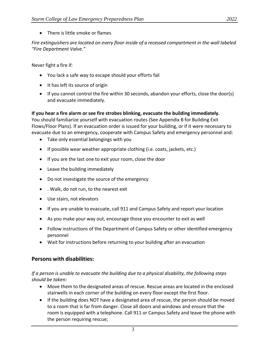• There is little smoke or flames

*Fire extinguishers are located on every floor inside of a recessed compartment in the wall labeled "Fire Department Valve."* 

Never fight a fire if:

- You lack a safe way to escape should your efforts fail
- It has left its source of origin
- If you cannot control the fire within 30 seconds, abandon your efforts, close the door(s) and evacuate immediately.

#### **If you hear a fire alarm or see fire strobes blinking, evacuate the building immediately.**

You should familiarize yourself with evacuation routes (See Appendix B for Building Exit Flows/Floor Plans). If an evacuation order is issued for your building, or if it were necessary to evacuate due to an emergency, cooperate with Campus Safety and emergency personnel and:

- Take only essential belongings with you
- If possible wear weather appropriate clothing (i.e. coats, jackets, etc.)
- If you are the last one to exit your room, close the door
- Leave the building immediately
- Do not investigate the source of the emergency
- . Walk, do not run, to the nearest exit
- Use stairs, not elevators
- If you are unable to evacuate, call 911 and Campus Safety and report your location
- As you make your way out, encourage those you encounter to exit as well
- Follow instructions of the Department of Campus Safety or other identified emergency personnel
- Wait for instructions before returning to your building after an evacuation

#### **Persons with disabilities:**

#### *If a person is unable to evacuate the building due to a physical disability, the following steps should be taken:*

- Move them to the designated areas of rescue. Rescue areas are located in the enclosed stairwells in each corner of the building on every floor except the first floor.
- If the building does NOT have a designated area of rescue, the person should be moved to a room that is far from danger. Close all doors and windows and ensure that the room is equipped with a telephone. Call 911 or Campus Safety and leave the phone with the person requiring rescue;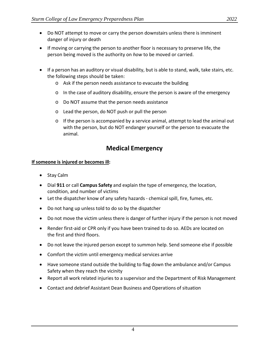- Do NOT attempt to move or carry the person downstairs unless there is imminent danger of injury or death
- If moving or carrying the person to another floor is necessary to preserve life, the person being moved is the authority on *how* to be moved or carried.
- If a person has an auditory or visual disability, but is able to stand, walk, take stairs, etc. the following steps should be taken:
	- o Ask if the person needs assistance to evacuate the building
	- $\circ$  In the case of auditory disability, ensure the person is aware of the emergency
	- o Do NOT assume that the person needs assistance
	- o Lead the person, do NOT push or pull the person
	- o If the person is accompanied by a service animal, attempt to lead the animal out with the person, but do NOT endanger yourself or the person to evacuate the animal.

### **Medical Emergency**

#### **If someone is injured or becomes ill:**

- Stay Calm
- Dial **911** or call **Campus Safety** and explain the type of emergency, the location, condition, and number of victims
- Let the dispatcher know of any safety hazards ‐ chemical spill, fire, fumes, etc.
- Do not hang up unless told to do so by the dispatcher
- Do not move the victim unless there is danger of further injury if the person is not moved
- Render first-aid or CPR only if you have been trained to do so. AEDs are located on the first and third floors.
- Do not leave the injured person except to summon help. Send someone else if possible
- Comfort the victim until emergency medical services arrive
- Have someone stand outside the building to flag down the ambulance and/or Campus Safety when they reach the vicinity
- Report all work related injuries to a supervisor and the Department of Risk Management
- Contact and debrief Assistant Dean Business and Operations of situation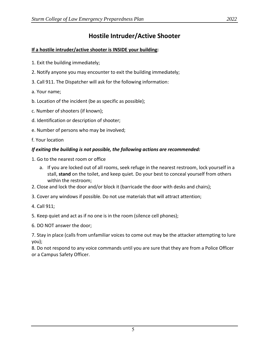## **Hostile Intruder/Active Shooter**

#### **If a hostile intruder/active shooter is INSIDE your building:**

- 1. Exit the building immediately;
- 2. Notify anyone you may encounter to exit the building immediately;
- 3. Call 911. The Dispatcher will ask for the following information:
- a. Your name;
- b. Location of the incident (be as specific as possible);
- c. Number of shooters (if known);
- d. Identification or description of shooter;
- e. Number of persons who may be involved;
- f. Your location

#### *If exiting the building is not possible, the following actions are recommended:*

- 1. Go to the nearest room or office
	- a. If you are locked out of all rooms, seek refuge in the nearest restroom, lock yourself in a stall, **stand** on the toilet, and keep quiet. Do your best to conceal yourself from others within the restroom;
- 2. Close and lock the door and/or block it (barricade the door with desks and chairs);
- 3. Cover any windows if possible. Do not use materials that will attract attention;
- 4. Call 911;

5. Keep quiet and act as if no one is in the room (silence cell phones);

6. DO NOT answer the door;

7. Stay in place (calls from unfamiliar voices to come out may be the attacker attempting to lure you);

8. Do not respond to any voice commands until you are sure that they are from a Police Officer or a Campus Safety Officer.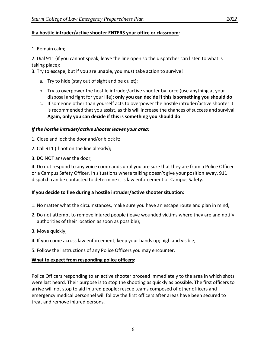#### **If a hostile intruder/active shooter ENTERS your office or classroom:**

1. Remain calm;

2. Dial 911 (if you cannot speak, leave the line open so the dispatcher can listen to what is taking place);

3. Try to escape, but if you are unable, you must take action to survive!

- a. Try to hide (stay out of sight and be quiet);
- b. Try to overpower the hostile intruder/active shooter by force (use anything at your disposal and fight for your life); **only you can decide if this is something you should do**
- c. If someone other than yourself acts to overpower the hostile intruder/active shooter it is recommended that you assist, as this will increase the chances of success and survival. **Again, only you can decide if this is something you should do**

#### *If the hostile intruder/active shooter leaves your area:*

- 1. Close and lock the door and/or block it;
- 2. Call 911 (if not on the line already);
- 3. DO NOT answer the door;

4. Do not respond to any voice commands until you are sure that they are from a Police Officer or a Campus Safety Officer. In situations where talking doesn't give your position away, 911 dispatch can be contacted to determine it is law enforcement or Campus Safety.

#### **If you decide to flee during a hostile intruder/active shooter situation:**

- 1. No matter what the circumstances, make sure you have an escape route and plan in mind;
- 2. Do not attempt to remove injured people (leave wounded victims where they are and notify authorities of their location as soon as possible);
- 3. Move quickly;
- 4. If you come across law enforcement, keep your hands up; high and visible;
- 5. Follow the instructions of any Police Officers you may encounter.

#### **What to expect from responding police officers:**

Police Officers responding to an active shooter proceed immediately to the area in which shots were last heard. Their purpose is to stop the shooting as quickly as possible. The first officers to arrive will not stop to aid injured people; rescue teams composed of other officers and emergency medical personnel will follow the first officers after areas have been secured to treat and remove injured persons.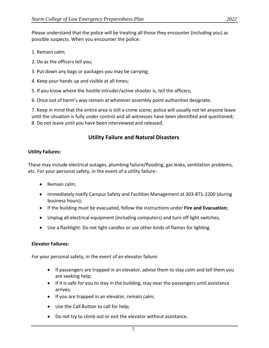Please understand that the police will be treating all those they encounter (including you) as possible suspects. When you encounter the police:

- 1. Remain calm;
- 2. Do as the officers tell you;
- 3. Put down any bags or packages you may be carrying;
- 4. Keep your hands up and visible at all times;
- 5. If you know where the hostile intruder/active shooter is, tell the officers;
- 6. Once out of harm's way remain at whatever assembly point authorities designate;

7. Keep in mind that the entire area is still a crime scene; police will usually not let anyone leave until the situation is fully under control and all witnesses have been identified and questioned; 8. Do not leave until you have been interviewed and released.

#### **Utility Failure and Natural Disasters**

#### **Utility Failures:**

These may include electrical outages, plumbing failure/flooding, gas leaks, ventilation problems, etc. For your personal safety, in the event of a utility failure:

- Remain calm;
- Immediately notify Campus Safety and Facilities Management at 303-871-2200 (during business hours);
- If the building must be evacuated, follow the instructions under **Fire and Evacuation;**
- Unplug all electrical equipment (including computers) and turn off light switches;
- Use a flashlight: Do not light candles or use other kinds of flames for lighting.

#### **Elevator Failures:**

For your personal safety, in the event of an elevator failure:

- If passengers are trapped in an elevator, advise them to stay calm and tell them you are seeking help;
- If it is safe for you to stay in the building, stay near the passengers until assistance arrives;
- If you are trapped in an elevator, remain calm;
- Use the Call Button to call for help;
- Do not try to climb out or exit the elevator without assistance.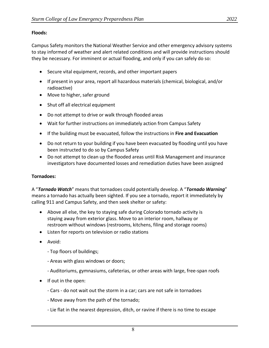#### **Floods:**

Campus Safety monitors the National Weather Service and other emergency advisory systems to stay informed of weather and alert related conditions and will provide instructions should they be necessary. For imminent or actual flooding, and only if you can safely do so:

- Secure vital equipment, records, and other important papers
- If present in your area, report all hazardous materials (chemical, biological, and/or radioactive)
- Move to higher, safer ground
- Shut off all electrical equipment
- Do not attempt to drive or walk through flooded areas
- Wait for further instructions on immediately action from Campus Safety
- If the building must be evacuated, follow the instructions in **Fire and Evacuation**
- Do not return to your building if you have been evacuated by flooding until you have been instructed to do so by Campus Safety
- Do not attempt to clean up the flooded areas until Risk Management and insurance investigators have documented losses and remediation duties have been assigned

#### **Tornadoes:**

A "*Tornado Watch*" means that tornadoes could potentially develop. A "*Tornado Warning*" means a tornado has actually been sighted. If you see a tornado, report it immediately by calling 911 and Campus Safety, and then seek shelter or safety:

- Above all else, the key to staying safe during Colorado tornado activity is staying away from exterior glass. Move to an interior room, hallway or restroom without windows (restrooms, kitchens, filing and storage rooms)
- Listen for reports on television or radio stations
- Avoid:
	- ‐ Top floors of buildings;
	- ‐ Areas with glass windows or doors;
	- ‐ Auditoriums, gymnasiums, cafeterias, or other areas with large, free‐span roofs
- If out in the open:
	- ‐ Cars ‐ do not wait out the storm in a car; cars are not safe in tornadoes
	- ‐ Move away from the path of the tornado;
	- ‐ Lie flat in the nearest depression, ditch, or ravine if there is no time to escape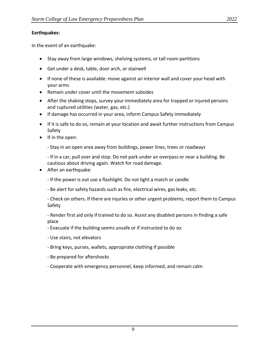#### **Earthquakes:**

In the event of an earthquake:

- Stay away from large windows, shelving systems, or tall room partitions
- Get under a desk, table, door arch, or stairwell
- If none of these is available: move against an interior wall and cover your head with your arms
- Remain under cover until the movement subsides
- After the shaking stops, survey your immediately area for trapped or injured persons and ruptured utilities (water, gas, etc.)
- If damage has occurred in your area, inform Campus Safety immediately
- If it is safe to do so, remain at your location and await further instructions from Campus Safety
- If in the open:
	- ‐ Stay in an open area away from buildings, power lines, trees or roadways
	- ‐ If in a car, pull over and stop. Do not park under an overpass or near a building. Be cautious about driving again. Watch for road damage.
- After an earthquake:
	- ‐ If the power is out use a flashlight. Do not light a match or candle
	- ‐ Be alert for safety hazards such as fire, electrical wires, gas leaks, etc.
	- ‐ Check on others. If there are injuries or other urgent problems, report them to Campus Safety
	- ‐ Render first aid only if trained to do so. Assist any disabled persons in finding a safe place
	- ‐ Evacuate if the building seems unsafe or if instructed to do so:
	- ‐ Use stairs, not elevators
	- ‐ Bring keys, purses, wallets, appropriate clothing if possible
	- ‐ Be prepared for aftershocks
	- ‐ Cooperate with emergency personnel, keep informed, and remain calm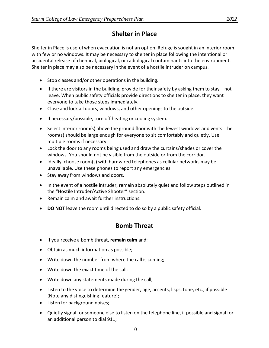## **Shelter in Place**

Shelter in Place is useful when evacuation is not an option. Refuge is sought in an interior room with few or no windows. It may be necessary to shelter in place following the intentional or accidental release of chemical, biological, or radiological contaminants into the environment. Shelter in place may also be necessary in the event of a hostile intruder on campus.

- Stop classes and/or other operations in the building.
- If there are visitors in the building, provide for their safety by asking them to stay—not leave. When public safety officials provide directions to shelter in place, they want everyone to take those steps immediately.
- Close and lock all doors, windows, and other openings to the outside.
- If necessary/possible, turn off heating or cooling system.
- Select interior room(s) above the ground floor with the fewest windows and vents. The room(s) should be large enough for everyone to sit comfortably and quietly. Use multiple rooms if necessary.
- Lock the door to any rooms being used and draw the curtains/shades or cover the windows. You should not be visible from the outside or from the corridor.
- Ideally, choose room(s) with hardwired telephones as cellular networks may be unavailable. Use these phones to report any emergencies.
- Stay away from windows and doors.
- In the event of a hostile intruder, remain absolutely quiet and follow steps outlined in the "Hostile Intruder/Active Shooter" section.
- Remain calm and await further instructions.
- **DO NOT** leave the room until directed to do so by a public safety official.

## **Bomb Threat**

- If you receive a bomb threat, **remain calm** and:
- Obtain as much information as possible;
- Write down the number from where the call is coming;
- Write down the exact time of the call;
- Write down any statements made during the call;
- Listen to the voice to determine the gender, age, accents, lisps, tone, etc., if possible (Note any distinguishing feature);
- Listen for background noises;
- Quietly signal for someone else to listen on the telephone line, if possible and signal for an additional person to dial 911;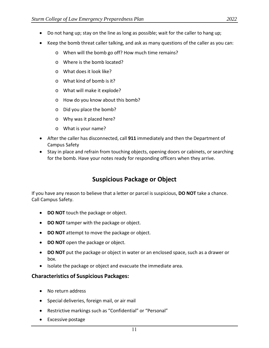- Do not hang up; stay on the line as long as possible; wait for the caller to hang up;
- Keep the bomb threat caller talking, and ask as many questions of the caller as you can:
	- o When will the bomb go off? How much time remains?
	- o Where is the bomb located?
	- o What does it look like?
	- o What kind of bomb is it?
	- o What will make it explode?
	- o How do you know about this bomb?
	- o Did you place the bomb?
	- o Why was it placed here?
	- o What is your name?
- After the caller has disconnected, call **911** immediately and then the Department of Campus Safety
- Stay in place and refrain from touching objects, opening doors or cabinets, or searching for the bomb. Have your notes ready for responding officers when they arrive.

## **Suspicious Package or Object**

If you have any reason to believe that a letter or parcel is suspicious, **DO NOT** take a chance. Call Campus Safety.

- **DO NOT** touch the package or object.
- **DO NOT** tamper with the package or object.
- **DO NOT** attempt to move the package or object.
- **DO NOT** open the package or object.
- **DO NOT** put the package or object in water or an enclosed space, such as a drawer or box.
- Isolate the package or object and evacuate the immediate area.

#### **Characteristics of Suspicious Packages:**

- No return address
- Special deliveries, foreign mail, or air mail
- Restrictive markings such as "Confidential" or "Personal"
- Excessive postage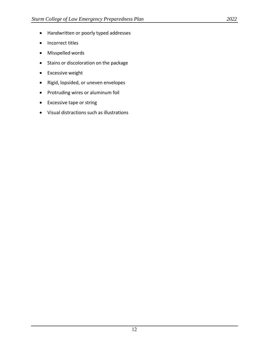- Handwritten or poorly typed addresses
- Incorrect titles
- Misspelled words
- Stains or discoloration on the package
- Excessive weight
- Rigid, lopsided, or uneven envelopes
- Protruding wires or aluminum foil
- Excessive tape or string
- Visual distractions such as illustrations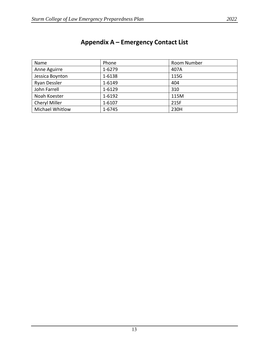| Name                 | Phone  | Room Number |
|----------------------|--------|-------------|
| Anne Aguirre         | 1-6279 | 407A        |
| Jessica Boynton      | 1-6138 | 115G        |
| <b>Ryan Dessler</b>  | 1-6149 | 404         |
| John Farrell         | 1-6129 | 310         |
| Noah Koester         | 1-6192 | 115M        |
| <b>Cheryl Miller</b> | 1-6107 | 215F        |
| Michael Whitlow      | 1-6745 | 230H        |

# **Appendix A – Emergency Contact List**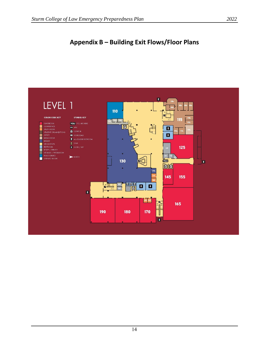## **Appendix B – Building Exit Flows/Floor Plans**

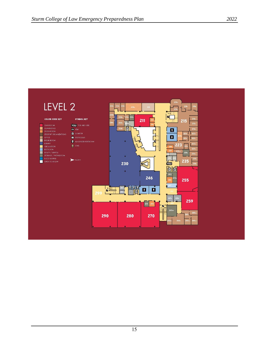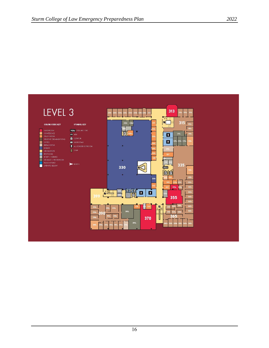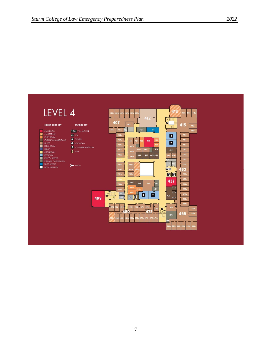